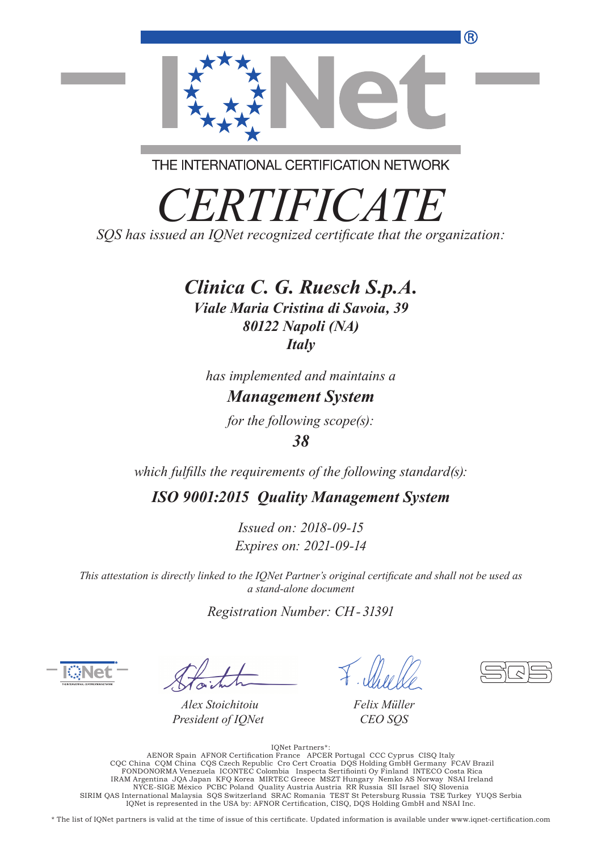

THE INTERNATIONAL CERTIFICATION NETWORK

*CERTIFICATE SQS has issued an IQNet recognized certificate that the organization:*

### *Clinica C. G. Ruesch S.p.A.*

*Viale Maria Cristina di Savoia, 39 80122 Napoli (NA) Italy*

*has implemented and maintains a*

### *Management System*

*for the following scope(s):*

### *38*

*which fulfills the requirements of the following standard(s):*

*ISO 9001:2015 Quality Management System*

*Issued on: 2018-09-15 Expires on: 2021-09-14*

*This attestation is directly linked to the IQNet Partner's original certificate and shall not be used as a stand-alone document*

*Registration Number: CH- 31391*

*Alex Stoichitoiu President of IQNet*

*Felix Müller CEO SQS*

IQNet Partners\*: AENOR Spain AFNOR Certification France APCER Portugal CCC Cyprus CISQ Italy<br>CQC China CQM China CQS Czech Republic Cro Cert Croatia DQS Holding GmbH Germany FCAV Brazil<br>FONDONORMA Venezuela ICONTEC Colombia Inspecta Sertif NYCE-SIGE México PCBC Poland Quality Austria Austria RR Russia SII Israel SIQ Slovenia SIRIM QAS International Malaysia SQS Switzerland SRAC Romania TEST St Petersburg Russia TSE Turkey YUQS Serbia IQNet is represented in the USA by: AFNOR Certification, CISQ, DQS Holding GmbH and NSAI Inc.

\* The list of IQNet partners is valid at the time of issue of this certificate. Updated information is available under www.iqnet-certification.com